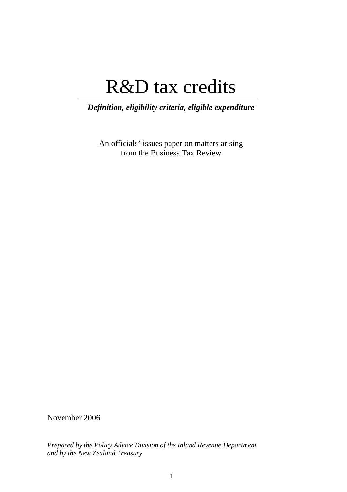# R&D tax credits

*Definition, eligibility criteria, eligible expenditure* 

An officials' issues paper on matters arising from the Business Tax Review

November 2006

*Prepared by the Policy Advice Division of the Inland Revenue Department and by the New Zealand Treasury*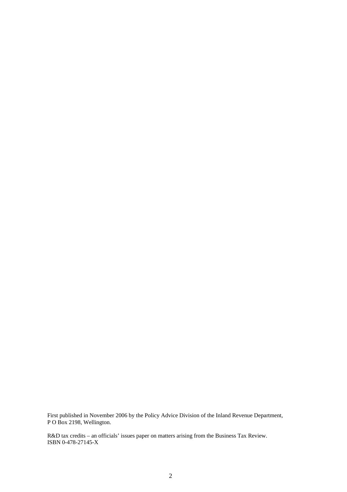First published in November 2006 by the Policy Advice Division of the Inland Revenue Department, P O Box 2198, Wellington.

R&D tax credits – an officials' issues paper on matters arising from the Business Tax Review. ISBN 0-478-27145-X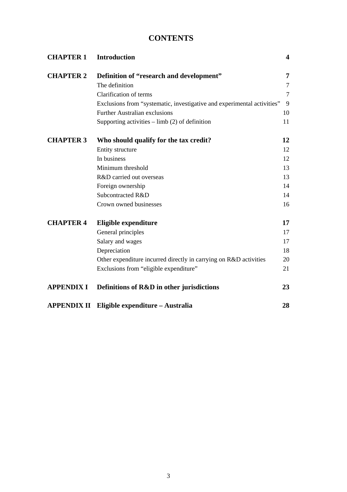## **CONTENTS**

| <b>CHAPTER 1</b>   | <b>Introduction</b>                                                     | $\overline{\mathbf{4}}$ |
|--------------------|-------------------------------------------------------------------------|-------------------------|
| <b>CHAPTER 2</b>   | Definition of "research and development"                                | 7                       |
|                    | The definition                                                          | $\tau$                  |
|                    | Clarification of terms                                                  | $\overline{7}$          |
|                    | Exclusions from "systematic, investigative and experimental activities" | 9                       |
|                    | Further Australian exclusions                                           | 10                      |
|                    | Supporting activities $-$ limb (2) of definition                        | 11                      |
| <b>CHAPTER 3</b>   | Who should qualify for the tax credit?                                  | 12                      |
|                    | Entity structure                                                        | 12                      |
|                    | In business                                                             | 12                      |
|                    | Minimum threshold                                                       | 13                      |
|                    | R&D carried out overseas                                                | 13                      |
|                    | Foreign ownership                                                       | 14                      |
|                    | Subcontracted R&D                                                       | 14                      |
|                    | Crown owned businesses                                                  | 16                      |
| <b>CHAPTER 4</b>   | Eligible expenditure                                                    | 17                      |
|                    | General principles                                                      | 17                      |
|                    | Salary and wages                                                        | 17                      |
|                    | Depreciation                                                            | 18                      |
|                    | Other expenditure incurred directly in carrying on R&D activities       | 20                      |
|                    | Exclusions from "eligible expenditure"                                  | 21                      |
| <b>APPENDIX I</b>  | Definitions of R&D in other jurisdictions                               | 23                      |
| <b>APPENDIX II</b> | Eligible expenditure – Australia                                        | 28                      |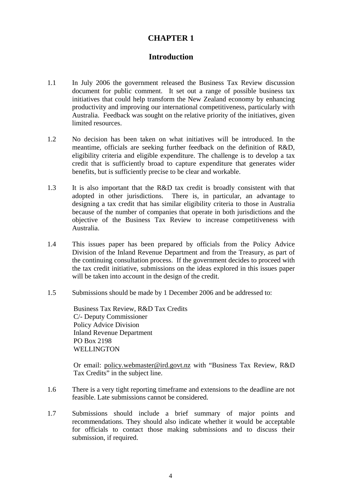## **CHAPTER 1**

## **Introduction**

- 1.1 In July 2006 the government released the Business Tax Review discussion document for public comment. It set out a range of possible business tax initiatives that could help transform the New Zealand economy by enhancing productivity and improving our international competitiveness, particularly with Australia. Feedback was sought on the relative priority of the initiatives, given limited resources.
- 1.2 No decision has been taken on what initiatives will be introduced. In the meantime, officials are seeking further feedback on the definition of R&D, eligibility criteria and eligible expenditure. The challenge is to develop a tax credit that is sufficiently broad to capture expenditure that generates wider benefits, but is sufficiently precise to be clear and workable.
- 1.3 It is also important that the R&D tax credit is broadly consistent with that adopted in other jurisdictions. There is, in particular, an advantage to designing a tax credit that has similar eligibility criteria to those in Australia because of the number of companies that operate in both jurisdictions and the objective of the Business Tax Review to increase competitiveness with Australia.
- 1.4 This issues paper has been prepared by officials from the Policy Advice Division of the Inland Revenue Department and from the Treasury, as part of the continuing consultation process. If the government decides to proceed with the tax credit initiative, submissions on the ideas explored in this issues paper will be taken into account in the design of the credit.
- 1.5 Submissions should be made by 1 December 2006 and be addressed to:

Business Tax Review, R&D Tax Credits C/- Deputy Commissioner Policy Advice Division Inland Revenue Department PO Box 2198 WELLINGTON

Or email: policy.webmaster@ird.govt.nz with "Business Tax Review, R&D Tax Credits" in the subject line.

- 1.6 There is a very tight reporting timeframe and extensions to the deadline are not feasible. Late submissions cannot be considered.
- 1.7 Submissions should include a brief summary of major points and recommendations. They should also indicate whether it would be acceptable for officials to contact those making submissions and to discuss their submission, if required.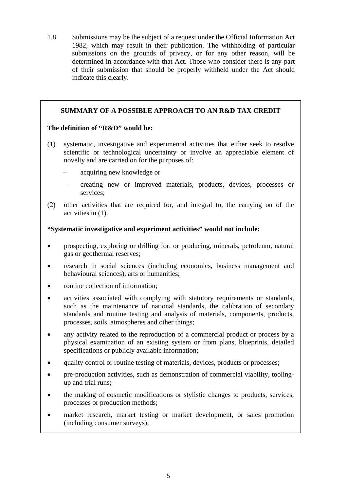1.8 Submissions may be the subject of a request under the Official Information Act 1982, which may result in their publication. The withholding of particular submissions on the grounds of privacy, or for any other reason, will be determined in accordance with that Act. Those who consider there is any part of their submission that should be properly withheld under the Act should indicate this clearly.

## **SUMMARY OF A POSSIBLE APPROACH TO AN R&D TAX CREDIT**

## **The definition of "R&D" would be:**

- (1) systematic, investigative and experimental activities that either seek to resolve scientific or technological uncertainty or involve an appreciable element of novelty and are carried on for the purposes of:
	- acquiring new knowledge or
	- creating new or improved materials, products, devices, processes or services;
- (2) other activities that are required for, and integral to, the carrying on of the activities in (1).

## **"Systematic investigative and experiment activities" would not include:**

- prospecting, exploring or drilling for, or producing, minerals, petroleum, natural gas or geothermal reserves;
- research in social sciences (including economics, business management and behavioural sciences), arts or humanities;
- routine collection of information:
- activities associated with complying with statutory requirements or standards, such as the maintenance of national standards, the calibration of secondary standards and routine testing and analysis of materials, components, products, processes, soils, atmospheres and other things;
- any activity related to the reproduction of a commercial product or process by a physical examination of an existing system or from plans, blueprints, detailed specifications or publicly available information;
- quality control or routine testing of materials, devices, products or processes;
- pre-production activities, such as demonstration of commercial viability, toolingup and trial runs;
- the making of cosmetic modifications or stylistic changes to products, services, processes or production methods;
- market research, market testing or market development, or sales promotion (including consumer surveys);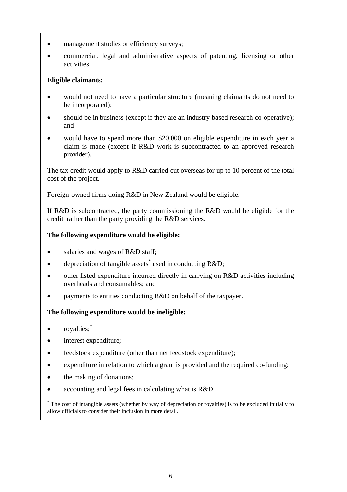- management studies or efficiency surveys;
- commercial, legal and administrative aspects of patenting, licensing or other activities.

## **Eligible claimants:**

- would not need to have a particular structure (meaning claimants do not need to be incorporated);
- should be in business (except if they are an industry-based research co-operative); and
- would have to spend more than \$20,000 on eligible expenditure in each year a claim is made (except if R&D work is subcontracted to an approved research provider).

The tax credit would apply to R&D carried out overseas for up to 10 percent of the total cost of the project.

Foreign-owned firms doing R&D in New Zealand would be eligible.

If R&D is subcontracted, the party commissioning the R&D would be eligible for the credit, rather than the party providing the R&D services.

## **The following expenditure would be eligible:**

- salaries and wages of R&D staff;
- depreciation of tangible assets<sup>\*</sup> used in conducting R&D;
- other listed expenditure incurred directly in carrying on R&D activities including overheads and consumables; and
- payments to entities conducting R&D on behalf of the taxpayer.

## **The following expenditure would be ineligible:**

- royalties;<sup>\*</sup>
- interest expenditure;
- feedstock expenditure (other than net feedstock expenditure);
- expenditure in relation to which a grant is provided and the required co-funding;
- the making of donations;
- accounting and legal fees in calculating what is R&D.

\* The cost of intangible assets (whether by way of depreciation or royalties) is to be excluded initially to allow officials to consider their inclusion in more detail.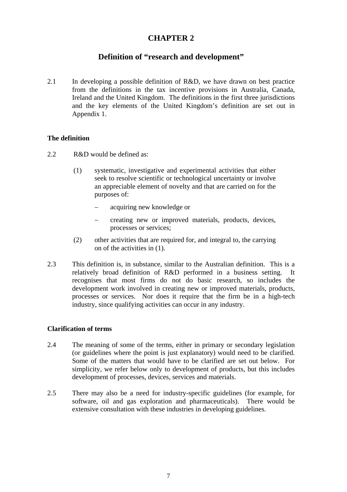## **CHAPTER 2**

## **Definition of "research and development"**

2.1 In developing a possible definition of R&D, we have drawn on best practice from the definitions in the tax incentive provisions in Australia, Canada, Ireland and the United Kingdom. The definitions in the first three jurisdictions and the key elements of the United Kingdom's definition are set out in Appendix 1.

## **The definition**

- 2.2 R&D would be defined as:
	- (1) systematic, investigative and experimental activities that either seek to resolve scientific or technological uncertainty or involve an appreciable element of novelty and that are carried on for the purposes of:
		- − acquiring new knowledge or
		- creating new or improved materials, products, devices, processes or services;
	- (2) other activities that are required for, and integral to, the carrying on of the activities in (1).
- 2.3 This definition is, in substance, similar to the Australian definition. This is a relatively broad definition of R&D performed in a business setting. It recognises that most firms do not do basic research, so includes the development work involved in creating new or improved materials, products, processes or services. Nor does it require that the firm be in a high-tech industry, since qualifying activities can occur in any industry.

## **Clarification of terms**

- 2.4 The meaning of some of the terms, either in primary or secondary legislation (or guidelines where the point is just explanatory) would need to be clarified. Some of the matters that would have to be clarified are set out below. For simplicity, we refer below only to development of products, but this includes development of processes, devices, services and materials.
- 2.5 There may also be a need for industry-specific guidelines (for example, for software, oil and gas exploration and pharmaceuticals). There would be extensive consultation with these industries in developing guidelines.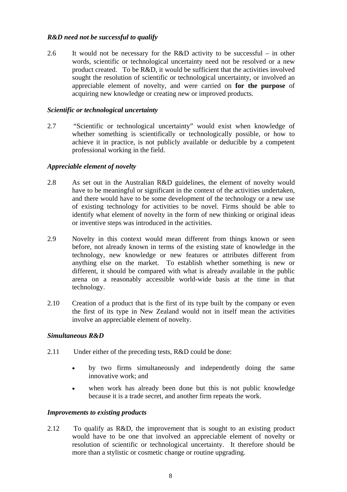## *R&D need not be successful to qualify*

2.6 It would not be necessary for the R&D activity to be successful – in other words, scientific or technological uncertainty need not be resolved or a new product created. To be R&D, it would be sufficient that the activities involved sought the resolution of scientific or technological uncertainty, or involved an appreciable element of novelty, and were carried on **for the purpose** of acquiring new knowledge or creating new or improved products.

## *Scientific or technological uncertainty*

2.7 "Scientific or technological uncertainty" would exist when knowledge of whether something is scientifically or technologically possible, or how to achieve it in practice, is not publicly available or deducible by a competent professional working in the field.

## *Appreciable element of novelty*

- 2.8 As set out in the Australian R&D guidelines, the element of novelty would have to be meaningful or significant in the context of the activities undertaken, and there would have to be some development of the technology or a new use of existing technology for activities to be novel. Firms should be able to identify what element of novelty in the form of new thinking or original ideas or inventive steps was introduced in the activities.
- 2.9 Novelty in this context would mean different from things known or seen before, not already known in terms of the existing state of knowledge in the technology, new knowledge or new features or attributes different from anything else on the market. To establish whether something is new or different, it should be compared with what is already available in the public arena on a reasonably accessible world-wide basis at the time in that technology.
- 2.10 Creation of a product that is the first of its type built by the company or even the first of its type in New Zealand would not in itself mean the activities involve an appreciable element of novelty.

## *Simultaneous R&D*

- 2.11 Under either of the preceding tests, R&D could be done:
	- by two firms simultaneously and independently doing the same innovative work; and
	- when work has already been done but this is not public knowledge because it is a trade secret, and another firm repeats the work.

## *Improvements to existing products*

2.12 To qualify as R&D, the improvement that is sought to an existing product would have to be one that involved an appreciable element of novelty or resolution of scientific or technological uncertainty. It therefore should be more than a stylistic or cosmetic change or routine upgrading.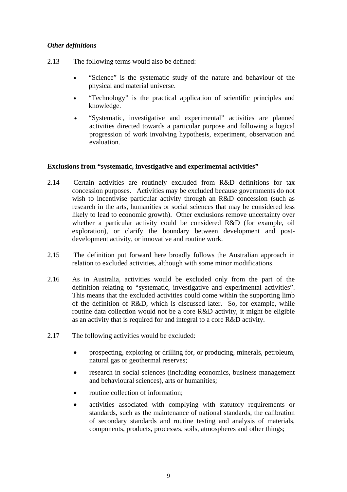## *Other definitions*

- 2.13 The following terms would also be defined:
	- "Science" is the systematic study of the nature and behaviour of the physical and material universe.
	- "Technology" is the practical application of scientific principles and knowledge.
	- "Systematic, investigative and experimental" activities are planned activities directed towards a particular purpose and following a logical progression of work involving hypothesis, experiment, observation and evaluation.

## **Exclusions from "systematic, investigative and experimental activities"**

- 2.14 Certain activities are routinely excluded from R&D definitions for tax concession purposes. Activities may be excluded because governments do not wish to incentivise particular activity through an R&D concession (such as research in the arts, humanities or social sciences that may be considered less likely to lead to economic growth). Other exclusions remove uncertainty over whether a particular activity could be considered R&D (for example, oil exploration), or clarify the boundary between development and postdevelopment activity, or innovative and routine work.
- 2.15 The definition put forward here broadly follows the Australian approach in relation to excluded activities, although with some minor modifications.
- 2.16 As in Australia, activities would be excluded only from the part of the definition relating to "systematic, investigative and experimental activities". This means that the excluded activities could come within the supporting limb of the definition of R&D, which is discussed later. So, for example, while routine data collection would not be a core R&D activity, it might be eligible as an activity that is required for and integral to a core R&D activity.
- 2.17 The following activities would be excluded:
	- prospecting, exploring or drilling for, or producing, minerals, petroleum, natural gas or geothermal reserves;
	- research in social sciences (including economics, business management and behavioural sciences), arts or humanities;
	- routine collection of information;
	- activities associated with complying with statutory requirements or standards, such as the maintenance of national standards, the calibration of secondary standards and routine testing and analysis of materials, components, products, processes, soils, atmospheres and other things;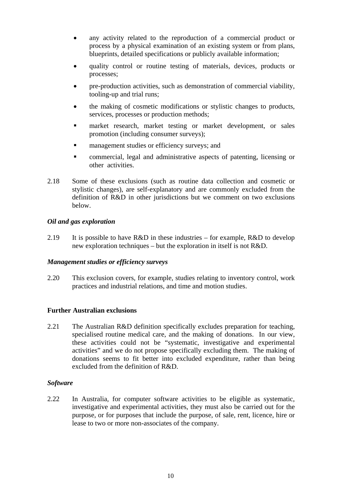- any activity related to the reproduction of a commercial product or process by a physical examination of an existing system or from plans, blueprints, detailed specifications or publicly available information;
- quality control or routine testing of materials, devices, products or processes;
- pre-production activities, such as demonstration of commercial viability, tooling-up and trial runs;
- the making of cosmetic modifications or stylistic changes to products, services, processes or production methods;
- **market research, market testing or market development, or sales** promotion (including consumer surveys);
- management studies or efficiency surveys; and
- commercial, legal and administrative aspects of patenting, licensing or other activities.
- 2.18 Some of these exclusions (such as routine data collection and cosmetic or stylistic changes), are self-explanatory and are commonly excluded from the definition of R&D in other jurisdictions but we comment on two exclusions below.

## *Oil and gas exploration*

2.19 It is possible to have  $R&D$  in these industries – for example,  $R&D$  to develop new exploration techniques – but the exploration in itself is not R&D.

## *Management studies or efficiency surveys*

2.20 This exclusion covers, for example, studies relating to inventory control, work practices and industrial relations, and time and motion studies.

## **Further Australian exclusions**

2.21 The Australian R&D definition specifically excludes preparation for teaching, specialised routine medical care, and the making of donations. In our view, these activities could not be "systematic, investigative and experimental activities" and we do not propose specifically excluding them. The making of donations seems to fit better into excluded expenditure, rather than being excluded from the definition of R&D.

## *Software*

2.22 In Australia, for computer software activities to be eligible as systematic, investigative and experimental activities, they must also be carried out for the purpose, or for purposes that include the purpose, of sale, rent, licence, hire or lease to two or more non-associates of the company.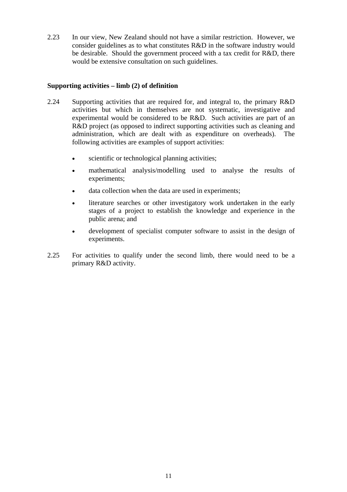2.23 In our view, New Zealand should not have a similar restriction. However, we consider guidelines as to what constitutes R&D in the software industry would be desirable. Should the government proceed with a tax credit for R&D, there would be extensive consultation on such guidelines.

## **Supporting activities – limb (2) of definition**

- 2.24 Supporting activities that are required for, and integral to, the primary R&D activities but which in themselves are not systematic, investigative and experimental would be considered to be R&D. Such activities are part of an R&D project (as opposed to indirect supporting activities such as cleaning and administration, which are dealt with as expenditure on overheads). The following activities are examples of support activities:
	- scientific or technological planning activities;
	- mathematical analysis/modelling used to analyse the results of experiments;
	- data collection when the data are used in experiments:
	- literature searches or other investigatory work undertaken in the early stages of a project to establish the knowledge and experience in the public arena; and
	- development of specialist computer software to assist in the design of experiments.
- 2.25 For activities to qualify under the second limb, there would need to be a primary R&D activity.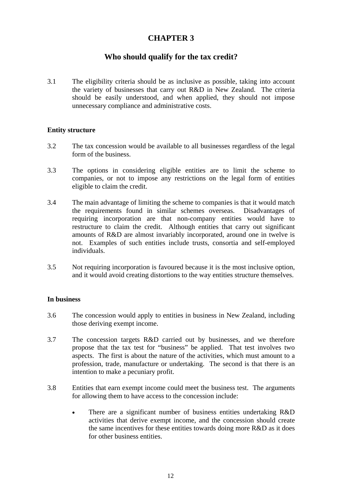## **CHAPTER 3**

## **Who should qualify for the tax credit?**

3.1 The eligibility criteria should be as inclusive as possible, taking into account the variety of businesses that carry out R&D in New Zealand. The criteria should be easily understood, and when applied, they should not impose unnecessary compliance and administrative costs.

## **Entity structure**

- 3.2 The tax concession would be available to all businesses regardless of the legal form of the business.
- 3.3 The options in considering eligible entities are to limit the scheme to companies, or not to impose any restrictions on the legal form of entities eligible to claim the credit.
- 3.4 The main advantage of limiting the scheme to companies is that it would match the requirements found in similar schemes overseas. Disadvantages of requiring incorporation are that non-company entities would have to restructure to claim the credit. Although entities that carry out significant amounts of R&D are almost invariably incorporated, around one in twelve is not. Examples of such entities include trusts, consortia and self-employed individuals.
- 3.5 Not requiring incorporation is favoured because it is the most inclusive option, and it would avoid creating distortions to the way entities structure themselves.

## **In business**

- 3.6 The concession would apply to entities in business in New Zealand, including those deriving exempt income.
- 3.7 The concession targets R&D carried out by businesses, and we therefore propose that the tax test for "business" be applied. That test involves two aspects. The first is about the nature of the activities, which must amount to a profession, trade, manufacture or undertaking. The second is that there is an intention to make a pecuniary profit.
- 3.8 Entities that earn exempt income could meet the business test. The arguments for allowing them to have access to the concession include:
	- There are a significant number of business entities undertaking R&D activities that derive exempt income, and the concession should create the same incentives for these entities towards doing more R&D as it does for other business entities.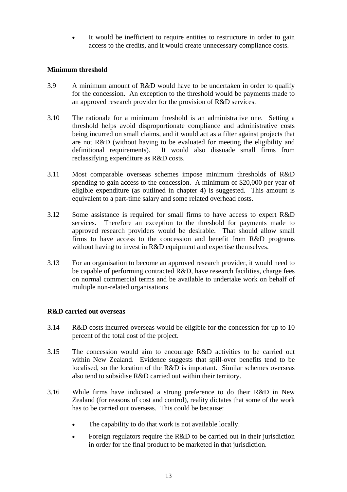It would be inefficient to require entities to restructure in order to gain access to the credits, and it would create unnecessary compliance costs.

## **Minimum threshold**

- 3.9 A minimum amount of R&D would have to be undertaken in order to qualify for the concession. An exception to the threshold would be payments made to an approved research provider for the provision of R&D services.
- 3.10 The rationale for a minimum threshold is an administrative one. Setting a threshold helps avoid disproportionate compliance and administrative costs being incurred on small claims, and it would act as a filter against projects that are not R&D (without having to be evaluated for meeting the eligibility and definitional requirements). It would also dissuade small firms from reclassifying expenditure as R&D costs.
- 3.11 Most comparable overseas schemes impose minimum thresholds of R&D spending to gain access to the concession. A minimum of \$20,000 per year of eligible expenditure (as outlined in chapter 4) is suggested. This amount is equivalent to a part-time salary and some related overhead costs.
- 3.12 Some assistance is required for small firms to have access to expert R&D services. Therefore an exception to the threshold for payments made to approved research providers would be desirable. That should allow small firms to have access to the concession and benefit from R&D programs without having to invest in R&D equipment and expertise themselves.
- 3.13 For an organisation to become an approved research provider, it would need to be capable of performing contracted R&D, have research facilities, charge fees on normal commercial terms and be available to undertake work on behalf of multiple non-related organisations.

## **R&D carried out overseas**

- 3.14 R&D costs incurred overseas would be eligible for the concession for up to 10 percent of the total cost of the project.
- 3.15 The concession would aim to encourage R&D activities to be carried out within New Zealand. Evidence suggests that spill-over benefits tend to be localised, so the location of the R&D is important. Similar schemes overseas also tend to subsidise R&D carried out within their territory.
- 3.16 While firms have indicated a strong preference to do their R&D in New Zealand (for reasons of cost and control), reality dictates that some of the work has to be carried out overseas. This could be because:
	- The capability to do that work is not available locally.
	- Foreign regulators require the R&D to be carried out in their jurisdiction in order for the final product to be marketed in that jurisdiction.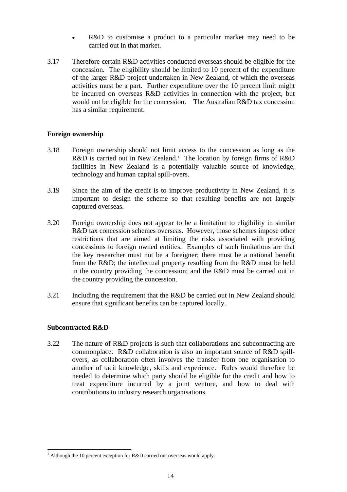- R&D to customise a product to a particular market may need to be carried out in that market.
- 3.17 Therefore certain R&D activities conducted overseas should be eligible for the concession. The eligibility should be limited to 10 percent of the expenditure of the larger R&D project undertaken in New Zealand, of which the overseas activities must be a part. Further expenditure over the 10 percent limit might be incurred on overseas R&D activities in connection with the project, but would not be eligible for the concession. The Australian R&D tax concession has a similar requirement.

## **Foreign ownership**

- 3.18 Foreign ownership should not limit access to the concession as long as the R&D is carried out in New Zealand.<sup>1</sup> The location by foreign firms of R&D facilities in New Zealand is a potentially valuable source of knowledge, technology and human capital spill-overs.
- 3.19 Since the aim of the credit is to improve productivity in New Zealand, it is important to design the scheme so that resulting benefits are not largely captured overseas.
- 3.20 Foreign ownership does not appear to be a limitation to eligibility in similar R&D tax concession schemes overseas. However, those schemes impose other restrictions that are aimed at limiting the risks associated with providing concessions to foreign owned entities. Examples of such limitations are that the key researcher must not be a foreigner; there must be a national benefit from the R&D; the intellectual property resulting from the R&D must be held in the country providing the concession; and the R&D must be carried out in the country providing the concession.
- 3.21 Including the requirement that the R&D be carried out in New Zealand should ensure that significant benefits can be captured locally.

## **Subcontracted R&D**

 $\overline{a}$ 

3.22 The nature of R&D projects is such that collaborations and subcontracting are commonplace. R&D collaboration is also an important source of R&D spillovers, as collaboration often involves the transfer from one organisation to another of tacit knowledge, skills and experience. Rules would therefore be needed to determine which party should be eligible for the credit and how to treat expenditure incurred by a joint venture, and how to deal with contributions to industry research organisations.

<sup>&</sup>lt;sup>1</sup> Although the 10 percent exception for R&D carried out overseas would apply.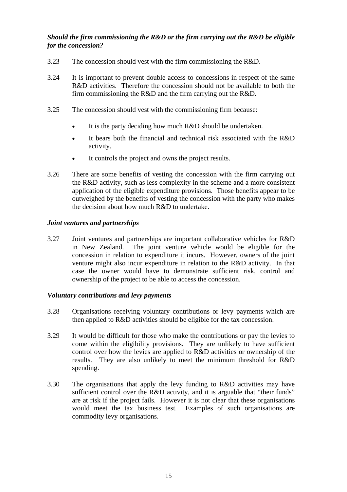## *Should the firm commissioning the R&D or the firm carrying out the R&D be eligible for the concession?*

- 3.23 The concession should vest with the firm commissioning the R&D.
- 3.24 It is important to prevent double access to concessions in respect of the same R&D activities. Therefore the concession should not be available to both the firm commissioning the R&D and the firm carrying out the R&D.
- 3.25 The concession should vest with the commissioning firm because:
	- It is the party deciding how much R&D should be undertaken.
	- It bears both the financial and technical risk associated with the  $R&D$ activity.
	- It controls the project and owns the project results.
- 3.26 There are some benefits of vesting the concession with the firm carrying out the R&D activity, such as less complexity in the scheme and a more consistent application of the eligible expenditure provisions. Those benefits appear to be outweighed by the benefits of vesting the concession with the party who makes the decision about how much R&D to undertake.

## *Joint ventures and partnerships*

3.27 Joint ventures and partnerships are important collaborative vehicles for R&D in New Zealand. The joint venture vehicle would be eligible for the concession in relation to expenditure it incurs. However, owners of the joint venture might also incur expenditure in relation to the R&D activity. In that case the owner would have to demonstrate sufficient risk, control and ownership of the project to be able to access the concession.

## *Voluntary contributions and levy payments*

- 3.28 Organisations receiving voluntary contributions or levy payments which are then applied to R&D activities should be eligible for the tax concession.
- 3.29 It would be difficult for those who make the contributions or pay the levies to come within the eligibility provisions. They are unlikely to have sufficient control over how the levies are applied to R&D activities or ownership of the results. They are also unlikely to meet the minimum threshold for R&D spending.
- 3.30 The organisations that apply the levy funding to R&D activities may have sufficient control over the R&D activity, and it is arguable that "their funds" are at risk if the project fails. However it is not clear that these organisations would meet the tax business test. Examples of such organisations are commodity levy organisations.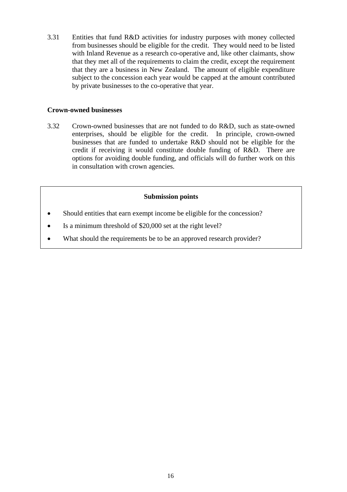3.31 Entities that fund R&D activities for industry purposes with money collected from businesses should be eligible for the credit. They would need to be listed with Inland Revenue as a research co-operative and, like other claimants, show that they met all of the requirements to claim the credit, except the requirement that they are a business in New Zealand. The amount of eligible expenditure subject to the concession each year would be capped at the amount contributed by private businesses to the co-operative that year.

## **Crown-owned businesses**

3.32 Crown-owned businesses that are not funded to do R&D, such as state-owned enterprises, should be eligible for the credit. In principle, crown-owned businesses that are funded to undertake R&D should not be eligible for the credit if receiving it would constitute double funding of R&D. There are options for avoiding double funding, and officials will do further work on this in consultation with crown agencies.

## **Submission points**

- Should entities that earn exempt income be eligible for the concession?
- Is a minimum threshold of \$20,000 set at the right level?
- What should the requirements be to be an approved research provider?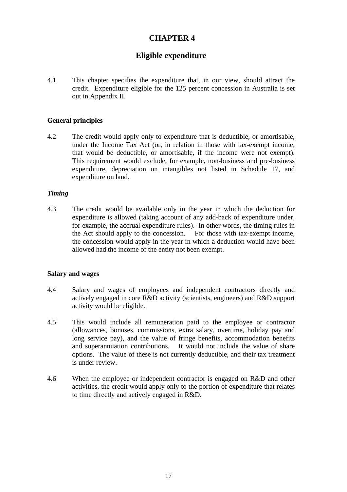## **CHAPTER 4**

## **Eligible expenditure**

4.1 This chapter specifies the expenditure that, in our view, should attract the credit. Expenditure eligible for the 125 percent concession in Australia is set out in Appendix II.

#### **General principles**

4.2 The credit would apply only to expenditure that is deductible, or amortisable, under the Income Tax Act (or, in relation in those with tax-exempt income, that would be deductible, or amortisable, if the income were not exempt). This requirement would exclude, for example, non-business and pre-business expenditure, depreciation on intangibles not listed in Schedule 17, and expenditure on land.

#### *Timing*

4.3 The credit would be available only in the year in which the deduction for expenditure is allowed (taking account of any add-back of expenditure under, for example, the accrual expenditure rules). In other words, the timing rules in the Act should apply to the concession. For those with tax-exempt income, the concession would apply in the year in which a deduction would have been allowed had the income of the entity not been exempt.

#### **Salary and wages**

- 4.4 Salary and wages of employees and independent contractors directly and actively engaged in core R&D activity (scientists, engineers) and R&D support activity would be eligible.
- 4.5 This would include all remuneration paid to the employee or contractor (allowances, bonuses, commissions, extra salary, overtime, holiday pay and long service pay), and the value of fringe benefits, accommodation benefits and superannuation contributions. It would not include the value of share options. The value of these is not currently deductible, and their tax treatment is under review.
- 4.6 When the employee or independent contractor is engaged on R&D and other activities, the credit would apply only to the portion of expenditure that relates to time directly and actively engaged in R&D.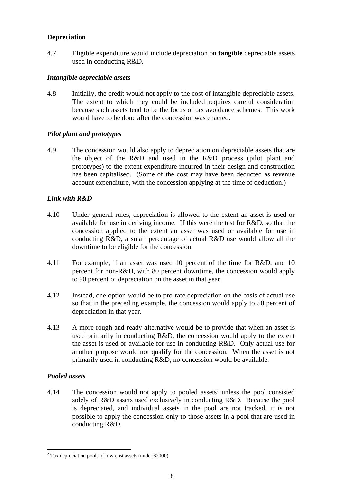## **Depreciation**

4.7 Eligible expenditure would include depreciation on **tangible** depreciable assets used in conducting R&D.

## *Intangible depreciable assets*

4.8 Initially, the credit would not apply to the cost of intangible depreciable assets. The extent to which they could be included requires careful consideration because such assets tend to be the focus of tax avoidance schemes. This work would have to be done after the concession was enacted.

## *Pilot plant and prototypes*

4.9 The concession would also apply to depreciation on depreciable assets that are the object of the R&D and used in the R&D process (pilot plant and prototypes) to the extent expenditure incurred in their design and construction has been capitalised. (Some of the cost may have been deducted as revenue account expenditure, with the concession applying at the time of deduction.)

## *Link with R&D*

- 4.10 Under general rules, depreciation is allowed to the extent an asset is used or available for use in deriving income. If this were the test for R&D, so that the concession applied to the extent an asset was used or available for use in conducting R&D, a small percentage of actual R&D use would allow all the downtime to be eligible for the concession.
- 4.11 For example, if an asset was used 10 percent of the time for R&D, and 10 percent for non-R&D, with 80 percent downtime, the concession would apply to 90 percent of depreciation on the asset in that year.
- 4.12 Instead, one option would be to pro-rate depreciation on the basis of actual use so that in the preceding example, the concession would apply to 50 percent of depreciation in that year.
- 4.13 A more rough and ready alternative would be to provide that when an asset is used primarily in conducting R&D, the concession would apply to the extent the asset is used or available for use in conducting R&D. Only actual use for another purpose would not qualify for the concession. When the asset is not primarily used in conducting R&D, no concession would be available.

## *Pooled assets*

4.14 The concession would not apply to pooled assets<sup>2</sup> unless the pool consisted solely of R&D assets used exclusively in conducting R&D. Because the pool is depreciated, and individual assets in the pool are not tracked, it is not possible to apply the concession only to those assets in a pool that are used in conducting R&D.

 $\overline{a}$  $2^2$  Tax depreciation pools of low-cost assets (under \$2000).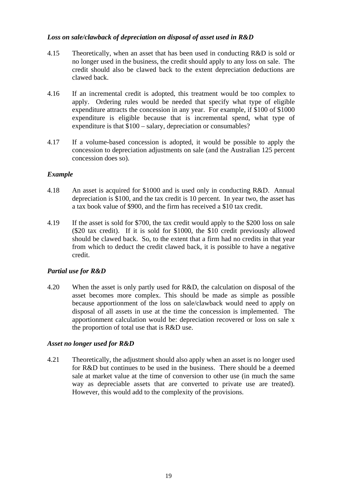## *Loss on sale/clawback of depreciation on disposal of asset used in R&D*

- 4.15 Theoretically, when an asset that has been used in conducting R&D is sold or no longer used in the business, the credit should apply to any loss on sale. The credit should also be clawed back to the extent depreciation deductions are clawed back.
- 4.16 If an incremental credit is adopted, this treatment would be too complex to apply. Ordering rules would be needed that specify what type of eligible expenditure attracts the concession in any year. For example, if \$100 of \$1000 expenditure is eligible because that is incremental spend, what type of expenditure is that \$100 – salary, depreciation or consumables?
- 4.17 If a volume-based concession is adopted, it would be possible to apply the concession to depreciation adjustments on sale (and the Australian 125 percent concession does so).

## *Example*

- 4.18 An asset is acquired for \$1000 and is used only in conducting R&D. Annual depreciation is \$100, and the tax credit is 10 percent. In year two, the asset has a tax book value of \$900, and the firm has received a \$10 tax credit.
- 4.19 If the asset is sold for \$700, the tax credit would apply to the \$200 loss on sale (\$20 tax credit). If it is sold for \$1000, the \$10 credit previously allowed should be clawed back. So, to the extent that a firm had no credits in that year from which to deduct the credit clawed back, it is possible to have a negative credit.

## *Partial use for R&D*

4.20 When the asset is only partly used for R&D, the calculation on disposal of the asset becomes more complex. This should be made as simple as possible because apportionment of the loss on sale/clawback would need to apply on disposal of all assets in use at the time the concession is implemented. The apportionment calculation would be: depreciation recovered or loss on sale x the proportion of total use that is R&D use.

## *Asset no longer used for R&D*

4.21 Theoretically, the adjustment should also apply when an asset is no longer used for R&D but continues to be used in the business. There should be a deemed sale at market value at the time of conversion to other use (in much the same way as depreciable assets that are converted to private use are treated). However, this would add to the complexity of the provisions.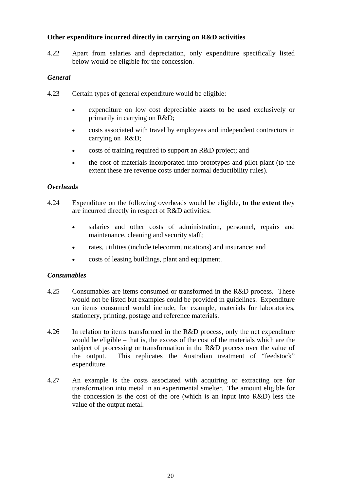## **Other expenditure incurred directly in carrying on R&D activities**

4.22 Apart from salaries and depreciation, only expenditure specifically listed below would be eligible for the concession.

## *General*

- 4.23 Certain types of general expenditure would be eligible:
	- expenditure on low cost depreciable assets to be used exclusively or primarily in carrying on R&D;
	- costs associated with travel by employees and independent contractors in carrying on R&D;
	- costs of training required to support an R&D project; and
	- the cost of materials incorporated into prototypes and pilot plant (to the extent these are revenue costs under normal deductibility rules).

## *Overheads*

- 4.24 Expenditure on the following overheads would be eligible, **to the extent** they are incurred directly in respect of R&D activities:
	- salaries and other costs of administration, personnel, repairs and maintenance, cleaning and security staff;
	- rates, utilities (include telecommunications) and insurance; and
	- costs of leasing buildings, plant and equipment.

## *Consumables*

- 4.25 Consumables are items consumed or transformed in the R&D process. These would not be listed but examples could be provided in guidelines. Expenditure on items consumed would include, for example, materials for laboratories, stationery, printing, postage and reference materials.
- 4.26 In relation to items transformed in the R&D process, only the net expenditure would be eligible – that is, the excess of the cost of the materials which are the subject of processing or transformation in the R&D process over the value of the output. This replicates the Australian treatment of "feedstock" expenditure.
- 4.27 An example is the costs associated with acquiring or extracting ore for transformation into metal in an experimental smelter. The amount eligible for the concession is the cost of the ore (which is an input into R&D) less the value of the output metal.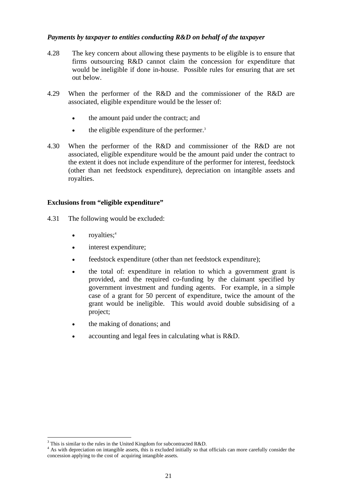## *Payments by taxpayer to entities conducting R&D on behalf of the taxpayer*

- 4.28 The key concern about allowing these payments to be eligible is to ensure that firms outsourcing R&D cannot claim the concession for expenditure that would be ineligible if done in-house. Possible rules for ensuring that are set out below.
- 4.29 When the performer of the R&D and the commissioner of the R&D are associated, eligible expenditure would be the lesser of:
	- the amount paid under the contract; and
	- the eligible expenditure of the performer.<sup>3</sup>
- 4.30 When the performer of the R&D and commissioner of the R&D are not associated, eligible expenditure would be the amount paid under the contract to the extent it does not include expenditure of the performer for interest, feedstock (other than net feedstock expenditure), depreciation on intangible assets and royalties.

## **Exclusions from "eligible expenditure"**

- 4.31 The following would be excluded:
	- royalties; $4$
	- interest expenditure;
	- feedstock expenditure (other than net feedstock expenditure);
	- the total of: expenditure in relation to which a government grant is provided, and the required co-funding by the claimant specified by government investment and funding agents. For example, in a simple case of a grant for 50 percent of expenditure, twice the amount of the grant would be ineligible. This would avoid double subsidising of a project;
	- the making of donations; and
	- accounting and legal fees in calculating what is R&D.

 $\overline{a}$ 

<sup>&</sup>lt;sup>3</sup> This is similar to the rules in the United Kingdom for subcontracted R&D.

As with depreciation on intangible assets, this is excluded initially so that officials can more carefully consider the concession applying to the cost of acquiring intangible assets.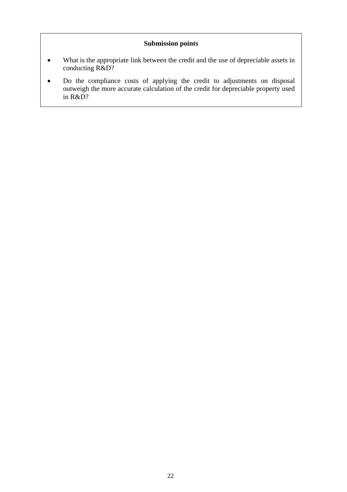## **Submission points**

- What is the appropriate link between the credit and the use of depreciable assets in conducting R&D?
- Do the compliance costs of applying the credit to adjustments on disposal outweigh the more accurate calculation of the credit for depreciable property used in R&D?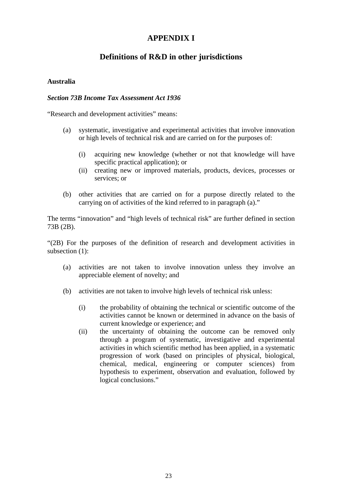## **APPENDIX I**

## **Definitions of R&D in other jurisdictions**

## **Australia**

## *Section 73B Income Tax Assessment Act 1936*

"Research and development activities" means:

- (a) systematic, investigative and experimental activities that involve innovation or high levels of technical risk and are carried on for the purposes of:
	- (i) acquiring new knowledge (whether or not that knowledge will have specific practical application); or
	- (ii) creating new or improved materials, products, devices, processes or services; or
- (b) other activities that are carried on for a purpose directly related to the carrying on of activities of the kind referred to in paragraph (a)."

The terms "innovation" and "high levels of technical risk" are further defined in section 73B (2B).

"(2B) For the purposes of the definition of research and development activities in subsection (1):

- (a) activities are not taken to involve innovation unless they involve an appreciable element of novelty; and
- (b) activities are not taken to involve high levels of technical risk unless:
	- (i) the probability of obtaining the technical or scientific outcome of the activities cannot be known or determined in advance on the basis of current knowledge or experience; and
	- (ii) the uncertainty of obtaining the outcome can be removed only through a program of systematic, investigative and experimental activities in which scientific method has been applied, in a systematic progression of work (based on principles of physical, biological, chemical, medical, engineering or computer sciences) from hypothesis to experiment, observation and evaluation, followed by logical conclusions."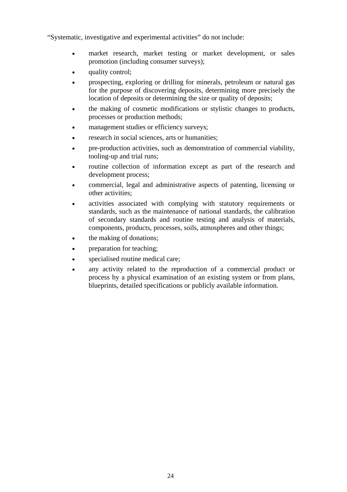"Systematic, investigative and experimental activities" do not include:

- market research, market testing or market development, or sales promotion (including consumer surveys);
- quality control:
- prospecting, exploring or drilling for minerals, petroleum or natural gas for the purpose of discovering deposits, determining more precisely the location of deposits or determining the size or quality of deposits;
- the making of cosmetic modifications or stylistic changes to products, processes or production methods;
- management studies or efficiency surveys;
- research in social sciences, arts or humanities;
- pre-production activities, such as demonstration of commercial viability, tooling-up and trial runs;
- routine collection of information except as part of the research and development process;
- commercial, legal and administrative aspects of patenting, licensing or other activities;
- activities associated with complying with statutory requirements or standards, such as the maintenance of national standards, the calibration of secondary standards and routine testing and analysis of materials, components, products, processes, soils, atmospheres and other things;
- the making of donations;
- preparation for teaching;
- specialised routine medical care;
- any activity related to the reproduction of a commercial product or process by a physical examination of an existing system or from plans, blueprints, detailed specifications or publicly available information.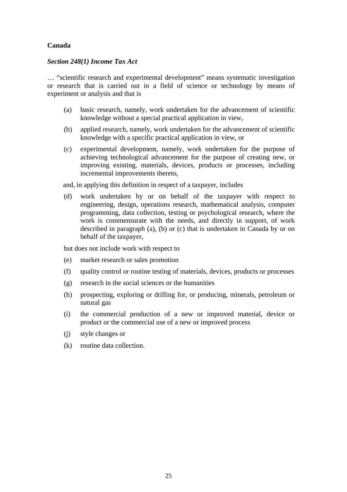## **Canada**

## *Section 248(1) Income Tax Act*

… "scientific research and experimental development" means systematic investigation or research that is carried out in a field of science or technology by means of experiment or analysis and that is

- (a) basic research, namely, work undertaken for the advancement of scientific knowledge without a special practical application in view,
- (b) applied research, namely, work undertaken for the advancement of scientific knowledge with a specific practical application in view, or
- (c) experimental development, namely, work undertaken for the purpose of achieving technological advancement for the purpose of creating new, or improving existing, materials, devices, products or processes, including incremental improvements thereto,

and, in applying this definition in respect of a taxpayer, includes

(d) work undertaken by or on behalf of the taxpayer with respect to engineering, design, operations research, mathematical analysis, computer programming, data collection, testing or psychological research, where the work is commensurate with the needs, and directly in support, of work described in paragraph (a), (b) or (c) that is undertaken in Canada by or on behalf of the taxpayer,

but does not include work with respect to

- (e) market research or sales promotion
- (f) quality control or routine testing of materials, devices, products or processes
- (g) research in the social sciences or the humanities
- (h) prospecting, exploring or drilling for, or producing, minerals, petroleum or natural gas
- (i) the commercial production of a new or improved material, device or product or the commercial use of a new or improved process
- (j) style changes or
- (k) routine data collection.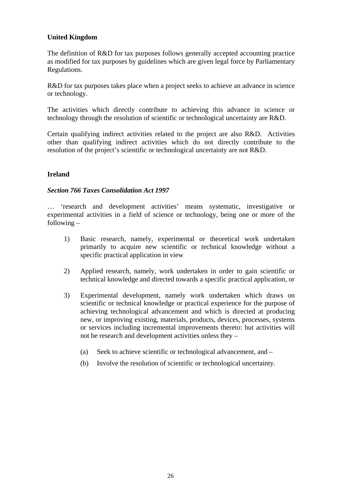## **United Kingdom**

The definition of R&D for tax purposes follows generally accepted accounting practice as modified for tax purposes by guidelines which are given legal force by Parliamentary Regulations.

R&D for tax purposes takes place when a project seeks to achieve an advance in science or technology.

The activities which directly contribute to achieving this advance in science or technology through the resolution of scientific or technological uncertainty are R&D.

Certain qualifying indirect activities related to the project are also R&D. Activities other than qualifying indirect activities which do not directly contribute to the resolution of the project's scientific or technological uncertainty are not R&D.

## **Ireland**

## *Section 766 Taxes Consolidation Act 1997*

… 'research and development activities' means systematic, investigative or experimental activities in a field of science or technology, being one or more of the following –

- 1) Basic research, namely, experimental or theoretical work undertaken primarily to acquire new scientific or technical knowledge without a specific practical application in view
- 2) Applied research, namely, work undertaken in order to gain scientific or technical knowledge and directed towards a specific practical application, or
- 3) Experimental development, namely work undertaken which draws on scientific or technical knowledge or practical experience for the purpose of achieving technological advancement and which is directed at producing new, or improving existing, materials, products, devices, processes, systems or services including incremental improvements thereto: but activities will not be research and development activities unless they –
	- (a) Seek to achieve scientific or technological advancement, and –
	- (b) Involve the resolution of scientific or technological uncertainty.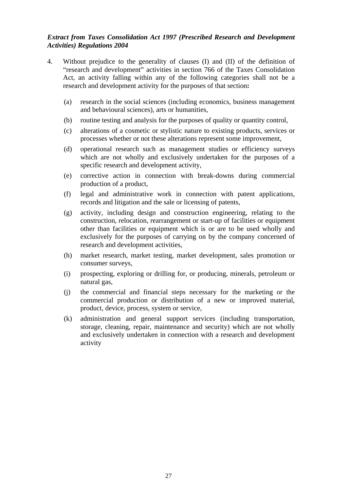## *Extract from Taxes Consolidation Act 1997 (Prescribed Research and Development Activities) Regulations 2004*

- 4. Without prejudice to the generality of clauses (I) and (II) of the definition of "research and development" activities in section 766 of the Taxes Consolidation Act, an activity falling within any of the following categories shall not be a research and development activity for the purposes of that section**:** 
	- (a) research in the social sciences (including economics, business management and behavioural sciences), arts or humanities,
	- (b) routine testing and analysis for the purposes of quality or quantity control,
	- (c) alterations of a cosmetic or stylistic nature to existing products, services or processes whether or not these alterations represent some improvement,
	- (d) operational research such as management studies or efficiency surveys which are not wholly and exclusively undertaken for the purposes of a specific research and development activity,
	- (e) corrective action in connection with break-downs during commercial production of a product,
	- (f) legal and administrative work in connection with patent applications, records and litigation and the sale or licensing of patents,
	- (g) activity, including design and construction engineering, relating to the construction, relocation, rearrangement or start-up of facilities or equipment other than facilities or equipment which is or are to be used wholly and exclusively for the purposes of carrying on by the company concerned of research and development activities,
	- (h) market research, market testing, market development, sales promotion or consumer surveys,
	- (i) prospecting, exploring or drilling for, or producing, minerals, petroleum or natural gas,
	- (j) the commercial and financial steps necessary for the marketing or the commercial production or distribution of a new or improved material, product, device, process, system or service,
	- (k) administration and general support services (including transportation, storage, cleaning, repair, maintenance and security) which are not wholly and exclusively undertaken in connection with a research and development activity